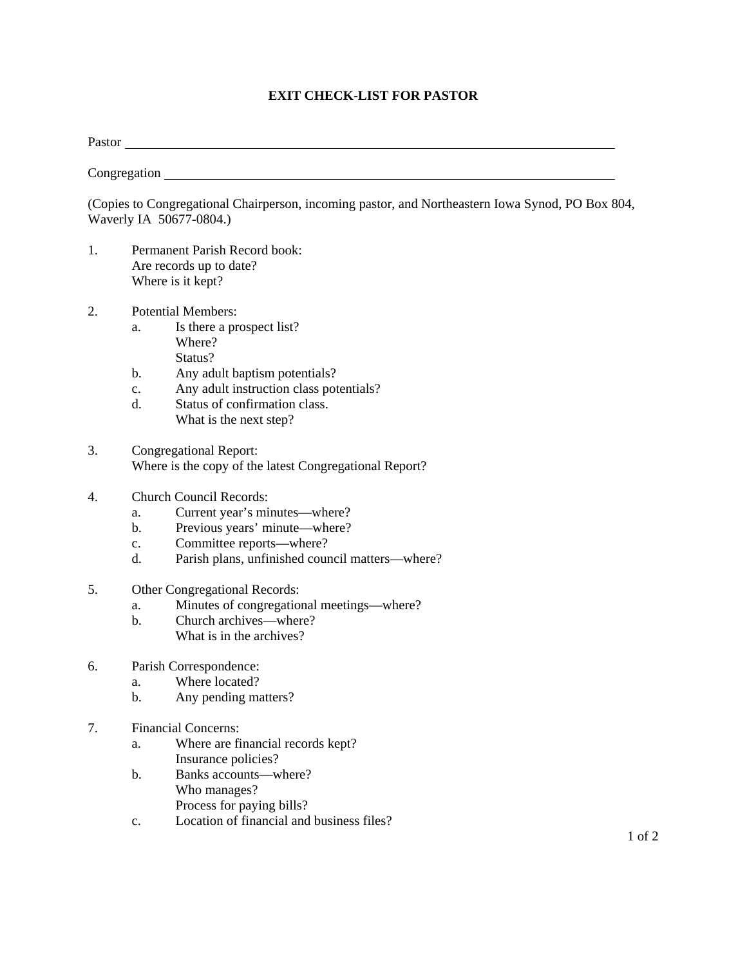## **EXIT CHECK-LIST FOR PASTOR**

| Pastor |                                                                                                                                                                                                                                            |            |
|--------|--------------------------------------------------------------------------------------------------------------------------------------------------------------------------------------------------------------------------------------------|------------|
|        | Congregation                                                                                                                                                                                                                               |            |
|        | (Copies to Congregational Chairperson, incoming pastor, and Northeastern Iowa Synod, PO Box 804,<br>Waverly IA 50677-0804.)                                                                                                                |            |
| 1.     | Permanent Parish Record book:<br>Are records up to date?<br>Where is it kept?                                                                                                                                                              |            |
| 2.     | <b>Potential Members:</b><br>Is there a prospect list?<br>a.<br>Where?<br>Status?<br>Any adult baptism potentials?<br>b.<br>Any adult instruction class potentials?<br>c.<br>Status of confirmation class.<br>d.<br>What is the next step? |            |
| 3.     | <b>Congregational Report:</b><br>Where is the copy of the latest Congregational Report?                                                                                                                                                    |            |
| 4.     | <b>Church Council Records:</b><br>Current year's minutes—where?<br>a.<br>Previous years' minute—where?<br>$\mathbf b$ .<br>Committee reports-where?<br>$\mathbf{c}$ .<br>Parish plans, unfinished council matters—where?<br>d.             |            |
| 5.     | Other Congregational Records:<br>Minutes of congregational meetings—where?<br>a.<br>Church archives-where?<br>b.<br>What is in the archives?                                                                                               |            |
| 6.     | Parish Correspondence:<br>Where located?<br>a.<br>Any pending matters?<br>b.                                                                                                                                                               |            |
| 7.     | <b>Financial Concerns:</b><br>Where are financial records kept?<br>a.<br>Insurance policies?<br>Banks accounts-where?<br>b.<br>Who manages?                                                                                                |            |
|        | Process for paying bills?<br>Location of financial and business files?<br>$\mathbf{c}$ .                                                                                                                                                   | $1$ of $2$ |